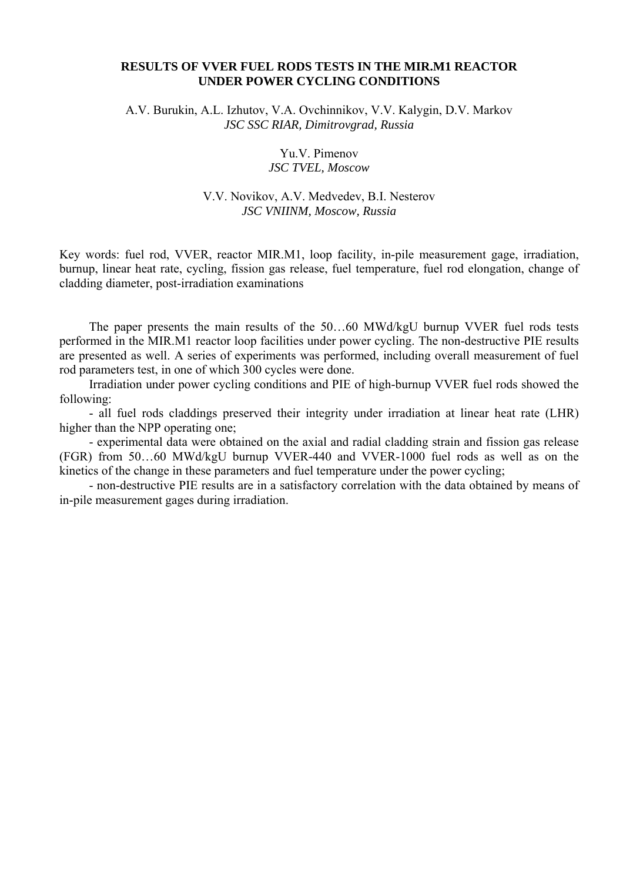## **RESULTS OF VVER FUEL RODS TESTS IN THE MIR.M1 REACTOR UNDER POWER CYCLING CONDITIONS**

A.V. Burukin, A.L. Izhutov, V.A. Ovchinnikov, V.V. Kalygin, D.V. Markov *JSC SSC RIAR, Dimitrovgrad, Russia* 

### Yu.V. Pimenov *JSC TVEL, Moscow*

## V.V. Novikov, A.V. Medvedev, B.I. Nesterov *JSC VNIINM, Moscow, Russia*

Key words: fuel rod, VVER, reactor MIR.M1, loop facility, in-pile measurement gage, irradiation, burnup, linear heat rate, cycling, fission gas release, fuel temperature, fuel rod elongation, change of cladding diameter, post-irradiation examinations

The paper presents the main results of the 50…60 MWd/kgU burnup VVER fuel rods tests performed in the MIR.M1 reactor loop facilities under power cycling. The non-destructive PIE results are presented as well. A series of experiments was performed, including overall measurement of fuel rod parameters test, in one of which 300 cycles were done.

Irradiation under power cycling conditions and PIE of high-burnup VVER fuel rods showed the following:

- all fuel rods claddings preserved their integrity under irradiation at linear heat rate (LHR) higher than the NPP operating one;

- experimental data were obtained on the axial and radial cladding strain and fission gas release (FGR) from 50…60 MWd/kgU burnup VVER-440 and VVER-1000 fuel rods as well as on the kinetics of the change in these parameters and fuel temperature under the power cycling;

- non-destructive PIE results are in a satisfactory correlation with the data obtained by means of in-pile measurement gages during irradiation.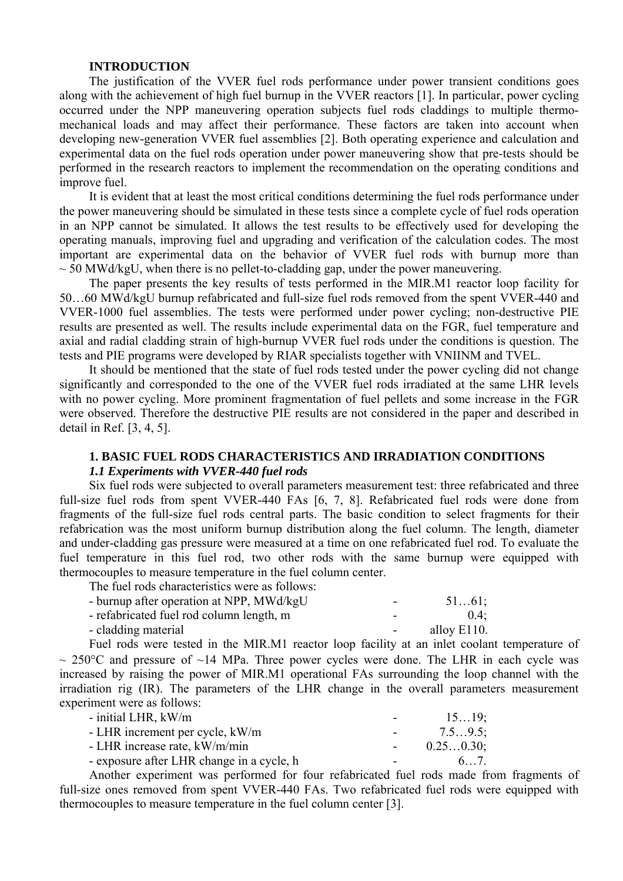#### **INTRODUCTION**

The justification of the VVER fuel rods performance under power transient conditions goes along with the achievement of high fuel burnup in the VVER reactors [1]. In particular, power cycling occurred under the NPP maneuvering operation subjects fuel rods claddings to multiple thermomechanical loads and may affect their performance. These factors are taken into account when developing new-generation VVER fuel assemblies [2]. Both operating experience and calculation and experimental data on the fuel rods operation under power maneuvering show that pre-tests should be performed in the research reactors to implement the recommendation on the operating conditions and improve fuel.

It is evident that at least the most critical conditions determining the fuel rods performance under the power maneuvering should be simulated in these tests since a complete cycle of fuel rods operation in an NPP cannot be simulated. It allows the test results to be effectively used for developing the operating manuals, improving fuel and upgrading and verification of the calculation codes. The most important are experimental data on the behavior of VVER fuel rods with burnup more than  $\sim$  50 MWd/kgU, when there is no pellet-to-cladding gap, under the power maneuvering.

The paper presents the key results of tests performed in the MIR.M1 reactor loop facility for 50…60 MWd/kgU burnup refabricated and full-size fuel rods removed from the spent VVER-440 and VVER-1000 fuel assemblies. The tests were performed under power cycling; non-destructive PIE results are presented as well. The results include experimental data on the FGR, fuel temperature and axial and radial cladding strain of high-burnup VVER fuel rods under the conditions is question. The tests and PIE programs were developed by RIAR specialists together with VNIINM and TVEL.

It should be mentioned that the state of fuel rods tested under the power cycling did not change significantly and corresponded to the one of the VVER fuel rods irradiated at the same LHR levels with no power cycling. More prominent fragmentation of fuel pellets and some increase in the FGR were observed. Therefore the destructive PIE results are not considered in the paper and described in detail in Ref. [3, 4, 5].

### **1. BASIC FUEL RODS CHARACTERISTICS AND IRRADIATION CONDITIONS**  *1.1 Experiments with VVER-440 fuel rods*

Six fuel rods were subjected to overall parameters measurement test: three refabricated and three full-size fuel rods from spent VVER-440 FAs [6, 7, 8]. Refabricated fuel rods were done from fragments of the full-size fuel rods central parts. The basic condition to select fragments for their refabrication was the most uniform burnup distribution along the fuel column. The length, diameter and under-cladding gas pressure were measured at a time on one refabricated fuel rod. To evaluate the fuel temperature in this fuel rod, two other rods with the same burnup were equipped with thermocouples to measure temperature in the fuel column center.

The fuel rods characteristics were as follows:

| - burnup after operation at NPP, MWd/kgU | $\overline{\phantom{a}}$ | $5161$ ;       |
|------------------------------------------|--------------------------|----------------|
| - refabricated fuel rod column length, m | $\overline{\phantom{a}}$ | $0.4$ :        |
| - cladding material                      | $\sim$                   | alloy $E110$ . |
|                                          |                          |                |

Fuel rods were tested in the MIR.M1 reactor loop facility at an inlet coolant temperature of  $\sim$  250 °C and pressure of ~14 MPa. Three power cycles were done. The LHR in each cycle was increased by raising the power of MIR.M1 operational FAs surrounding the loop channel with the irradiation rig (IR). The parameters of the LHR change in the overall parameters measurement experiment were as follows:

| - initial LHR, kW/m                       | $\sim$ 100 $\mu$         | 1519;      |
|-------------------------------------------|--------------------------|------------|
| - LHR increment per cycle, kW/m           | <b>Contract Contract</b> | $7.59.5$ ; |
| - LHR increase rate, kW/m/min             | $\sim 100$ km s $^{-1}$  | 0.250.30;  |
| - exposure after LHR change in a cycle, h | <b>All Contracts</b>     | 67.        |

Another experiment was performed for four refabricated fuel rods made from fragments of full-size ones removed from spent VVER-440 FAs. Two refabricated fuel rods were equipped with thermocouples to measure temperature in the fuel column center [3].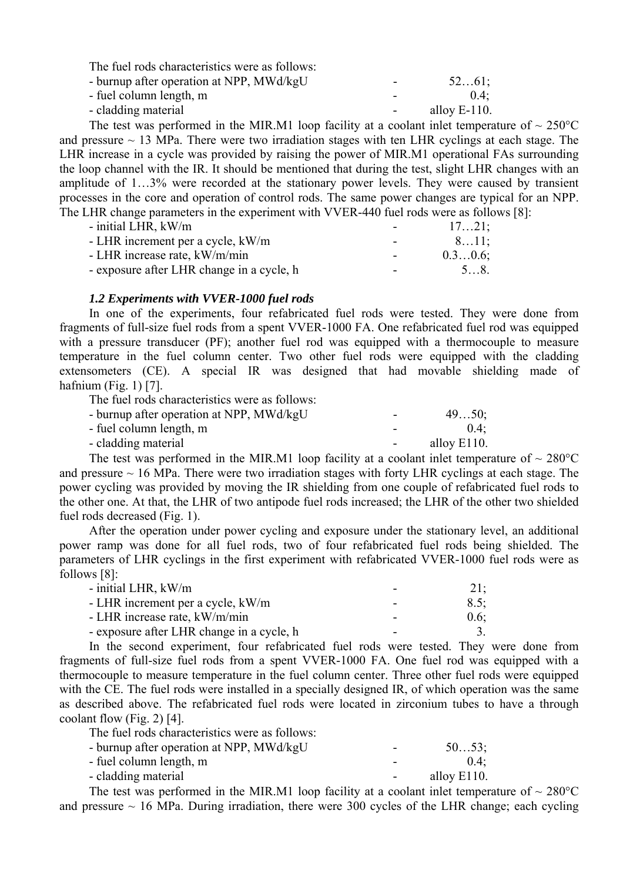The fuel rods characteristics were as follows:

| - burnup after operation at NPP, MWd/kgU | $\overline{\phantom{0}}$ | 5261;           |
|------------------------------------------|--------------------------|-----------------|
| - fuel column length, m                  | $\overline{\phantom{a}}$ | 0.4             |
| - cladding material                      | $\sim$                   | alloy $E-110$ . |

The test was performed in the MIR.M1 loop facility at a coolant inlet temperature of  $\sim 250^{\circ}$ C and pressure  $\sim$  13 MPa. There were two irradiation stages with ten LHR cyclings at each stage. The LHR increase in a cycle was provided by raising the power of MIR.M1 operational FAs surrounding the loop channel with the IR. It should be mentioned that during the test, slight LHR changes with an amplitude of 1…3% were recorded at the stationary power levels. They were caused by transient processes in the core and operation of control rods. The same power changes are typical for an NPP. The LHR change parameters in the experiment with VVER-440 fuel rods were as follows [8]:

| - initial LHR, $kW/m$                     | $\overline{\phantom{0}}$ | $1721$ ; |
|-------------------------------------------|--------------------------|----------|
| - LHR increment per a cycle, kW/m         | $\sim$                   | 811;     |
| - LHR increase rate, kW/m/min             | $\sim$ 100 $\mu$         | 0.30.6;  |
| - exposure after LHR change in a cycle, h | $\blacksquare$           | $58$ .   |

#### *1.2 Experiments with VVER-1000 fuel rods*

In one of the experiments, four refabricated fuel rods were tested. They were done from fragments of full-size fuel rods from a spent VVER-1000 FA. One refabricated fuel rod was equipped with a pressure transducer (PF); another fuel rod was equipped with a thermocouple to measure temperature in the fuel column center. Two other fuel rods were equipped with the cladding extensometers (CE). A special IR was designed that had movable shielding made of hafnium (Fig. 1) [7].

The fuel rods characteristics were as follows:

| - burnup after operation at NPP, MWd/kgU | $\sim$                   | $4950$ ;       |
|------------------------------------------|--------------------------|----------------|
| - fuel column length, m                  | $\overline{\phantom{a}}$ | $0.4^{\circ}$  |
| - cladding material                      | $\sim$                   | alloy $E110$ . |

The test was performed in the MIR.M1 loop facility at a coolant inlet temperature of  $\sim 280^{\circ}$ C and pressure  $\sim 16$  MPa. There were two irradiation stages with forty LHR cyclings at each stage. The power cycling was provided by moving the IR shielding from one couple of refabricated fuel rods to the other one. At that, the LHR of two antipode fuel rods increased; the LHR of the other two shielded fuel rods decreased (Fig. 1).

After the operation under power cycling and exposure under the stationary level, an additional power ramp was done for all fuel rods, two of four refabricated fuel rods being shielded. The parameters of LHR cyclings in the first experiment with refabricated VVER-1000 fuel rods were as follows [8]:

| - initial LHR, $kW/m$                     |   | 21:     |
|-------------------------------------------|---|---------|
| - LHR increment per a cycle, kW/m         | - | $8.5$ ; |
| - LHR increase rate, kW/m/min             | - | 0.6     |
| - exposure after LHR change in a cycle, h | - |         |

In the second experiment, four refabricated fuel rods were tested. They were done from fragments of full-size fuel rods from a spent VVER-1000 FA. One fuel rod was equipped with a thermocouple to measure temperature in the fuel column center. Three other fuel rods were equipped with the CE. The fuel rods were installed in a specially designed IR, of which operation was the same as described above. The refabricated fuel rods were located in zirconium tubes to have a through coolant flow (Fig. 2) [4].

The fuel rods characteristics were as follows:

| - burnup after operation at NPP, MWd/kgU | $\overline{\phantom{a}}$ | $5053$ ;       |
|------------------------------------------|--------------------------|----------------|
| - fuel column length, m                  | $\overline{\phantom{a}}$ | 0.4            |
| - cladding material                      | $\sim$                   | alloy $E110$ . |

The test was performed in the MIR.M1 loop facility at a coolant inlet temperature of  $\sim 280^{\circ}$ C and pressure  $\sim 16$  MPa. During irradiation, there were 300 cycles of the LHR change; each cycling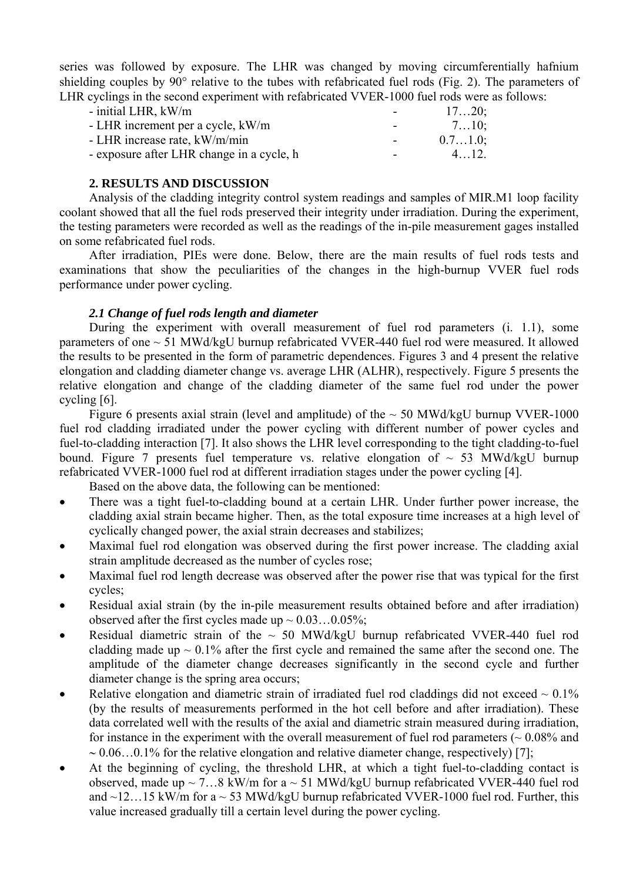series was followed by exposure. The LHR was changed by moving circumferentially hafnium shielding couples by 90° relative to the tubes with refabricated fuel rods (Fig. 2). The parameters of LHR cyclings in the second experiment with refabricated VVER-1000 fuel rods were as follows:

| - initial LHR, $kW/m$                     |                          | $1720$ ; |
|-------------------------------------------|--------------------------|----------|
| - LHR increment per a cycle, kW/m         | $\overline{\phantom{a}}$ | 710;     |
| - LHR increase rate, $kW/m/min$           |                          | 0.71.0;  |
| - exposure after LHR change in a cycle, h | $\overline{\phantom{0}}$ | 4 12     |
|                                           |                          |          |

## **2. RESULTS AND DISCUSSION**

Analysis of the cladding integrity control system readings and samples of MIR.M1 loop facility coolant showed that all the fuel rods preserved their integrity under irradiation. During the experiment, the testing parameters were recorded as well as the readings of the in-pile measurement gages installed on some refabricated fuel rods.

After irradiation, PIEs were done. Below, there are the main results of fuel rods tests and examinations that show the peculiarities of the changes in the high-burnup VVER fuel rods performance under power cycling.

#### *2.1 Change of fuel rods length and diameter*

During the experiment with overall measurement of fuel rod parameters (i. 1.1), some parameters of one ~ 51 MWd/kgU burnup refabricated VVER-440 fuel rod were measured. It allowed the results to be presented in the form of parametric dependences. Figures 3 and 4 present the relative elongation and cladding diameter change vs. average LHR (ALHR), respectively. Figure 5 presents the relative elongation and change of the cladding diameter of the same fuel rod under the power cycling [6].

Figure 6 presents axial strain (level and amplitude) of the  $\sim$  50 MWd/kgU burnup VVER-1000 fuel rod cladding irradiated under the power cycling with different number of power cycles and fuel-to-cladding interaction [7]. It also shows the LHR level corresponding to the tight cladding-to-fuel bound. Figure 7 presents fuel temperature vs. relative elongation of  $\sim$  53 MWd/kgU burnup refabricated VVER-1000 fuel rod at different irradiation stages under the power cycling [4].

Based on the above data, the following can be mentioned:

- There was a tight fuel-to-cladding bound at a certain LHR. Under further power increase, the cladding axial strain became higher. Then, as the total exposure time increases at a high level of cyclically changed power, the axial strain decreases and stabilizes;
- Maximal fuel rod elongation was observed during the first power increase. The cladding axial strain amplitude decreased as the number of cycles rose;
- Maximal fuel rod length decrease was observed after the power rise that was typical for the first cycles;
- Residual axial strain (by the in-pile measurement results obtained before and after irradiation) observed after the first cycles made up  $\sim 0.03...0.05\%$ ;
- Residual diametric strain of the  $\sim$  50 MWd/kgU burnup refabricated VVER-440 fuel rod cladding made up  $\sim 0.1\%$  after the first cycle and remained the same after the second one. The amplitude of the diameter change decreases significantly in the second cycle and further diameter change is the spring area occurs;
- Relative elongation and diametric strain of irradiated fuel rod claddings did not exceed  $\sim 0.1\%$ (by the results of measurements performed in the hot cell before and after irradiation). These data correlated well with the results of the axial and diametric strain measured during irradiation, for instance in the experiment with the overall measurement of fuel rod parameters  $($   $\sim$  0.08% and  $\sim 0.06...0.1\%$  for the relative elongation and relative diameter change, respectively) [7];
- At the beginning of cycling, the threshold LHR, at which a tight fuel-to-cladding contact is observed, made up  $\sim$  7...8 kW/m for a  $\sim$  51 MWd/kgU burnup refabricated VVER-440 fuel rod and  $\sim$ 12…15 kW/m for a  $\sim$  53 MWd/kgU burnup refabricated VVER-1000 fuel rod. Further, this value increased gradually till a certain level during the power cycling.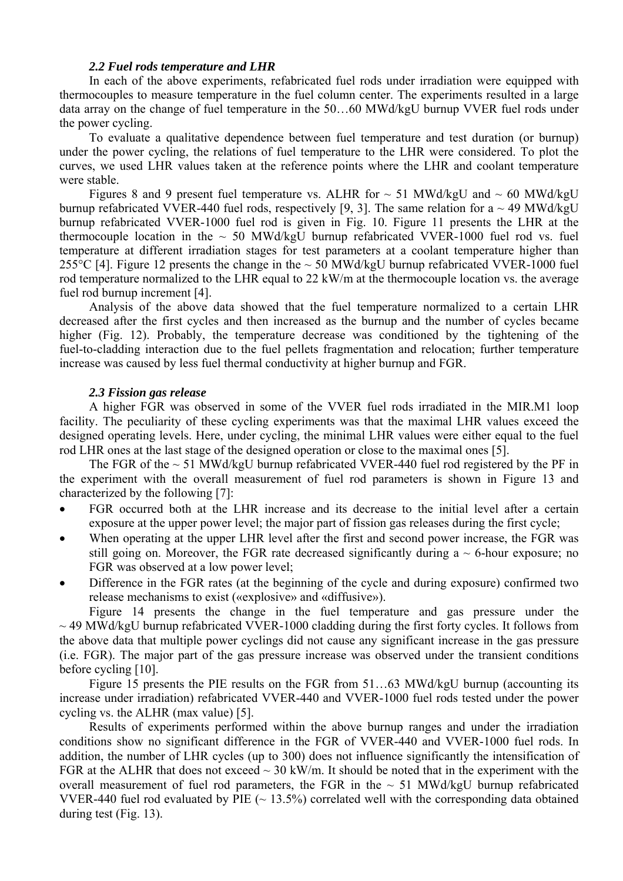#### *2.2 Fuel rods temperature and LHR*

In each of the above experiments, refabricated fuel rods under irradiation were equipped with thermocouples to measure temperature in the fuel column center. The experiments resulted in a large data array on the change of fuel temperature in the 50…60 MWd/kgU burnup VVER fuel rods under the power cycling.

To evaluate a qualitative dependence between fuel temperature and test duration (or burnup) under the power cycling, the relations of fuel temperature to the LHR were considered. To plot the curves, we used LHR values taken at the reference points where the LHR and coolant temperature were stable.

Figures 8 and 9 present fuel temperature vs. ALHR for  $\sim$  51 MWd/kgU and  $\sim$  60 MWd/kgU burnup refabricated VVER-440 fuel rods, respectively [9, 3]. The same relation for a  $\sim$  49 MWd/kgU burnup refabricated VVER-1000 fuel rod is given in Fig. 10. Figure 11 presents the LHR at the thermocouple location in the  $\sim 50$  MWd/kgU burnup refabricated VVER-1000 fuel rod vs. fuel temperature at different irradiation stages for test parameters at a coolant temperature higher than 255 °C [4]. Figure 12 presents the change in the  $\sim$  50 MWd/kgU burnup refabricated VVER-1000 fuel rod temperature normalized to the LHR equal to 22 kW/m at the thermocouple location vs. the average fuel rod burnup increment [4].

Analysis of the above data showed that the fuel temperature normalized to a certain LHR decreased after the first cycles and then increased as the burnup and the number of cycles became higher (Fig. 12). Probably, the temperature decrease was conditioned by the tightening of the fuel-to-cladding interaction due to the fuel pellets fragmentation and relocation; further temperature increase was caused by less fuel thermal conductivity at higher burnup and FGR.

#### *2.3 Fission gas release*

A higher FGR was observed in some of the VVER fuel rods irradiated in the MIR.M1 loop facility. The peculiarity of these cycling experiments was that the maximal LHR values exceed the designed operating levels. Here, under cycling, the minimal LHR values were either equal to the fuel rod LHR ones at the last stage of the designed operation or close to the maximal ones [5].

The FGR of the  $\sim$  51 MWd/kgU burnup refabricated VVER-440 fuel rod registered by the PF in the experiment with the overall measurement of fuel rod parameters is shown in Figure 13 and characterized by the following [7]:

- FGR occurred both at the LHR increase and its decrease to the initial level after a certain exposure at the upper power level; the major part of fission gas releases during the first cycle;
- When operating at the upper LHR level after the first and second power increase, the FGR was still going on. Moreover, the FGR rate decreased significantly during  $a \sim 6$ -hour exposure; no FGR was observed at a low power level;
- Difference in the FGR rates (at the beginning of the cycle and during exposure) confirmed two release mechanisms to exist («explosive» and «diffusive»).

Figure 14 presents the change in the fuel temperature and gas pressure under the  $\sim$  49 MWd/kgU burnup refabricated VVER-1000 cladding during the first forty cycles. It follows from the above data that multiple power cyclings did not cause any significant increase in the gas pressure (i.e. FGR). The major part of the gas pressure increase was observed under the transient conditions before cycling [10].

Figure 15 presents the PIE results on the FGR from 51…63 MWd/kgU burnup (accounting its increase under irradiation) refabricated VVER-440 and VVER-1000 fuel rods tested under the power cycling vs. the ALHR (max value) [5].

Results of experiments performed within the above burnup ranges and under the irradiation conditions show no significant difference in the FGR of VVER-440 and VVER-1000 fuel rods. In addition, the number of LHR cycles (up to 300) does not influence significantly the intensification of FGR at the ALHR that does not exceed  $\sim$  30 kW/m. It should be noted that in the experiment with the overall measurement of fuel rod parameters, the FGR in the  $\sim$  51 MWd/kgU burnup refabricated VVER-440 fuel rod evaluated by PIE  $(-13.5%)$  correlated well with the corresponding data obtained during test (Fig. 13).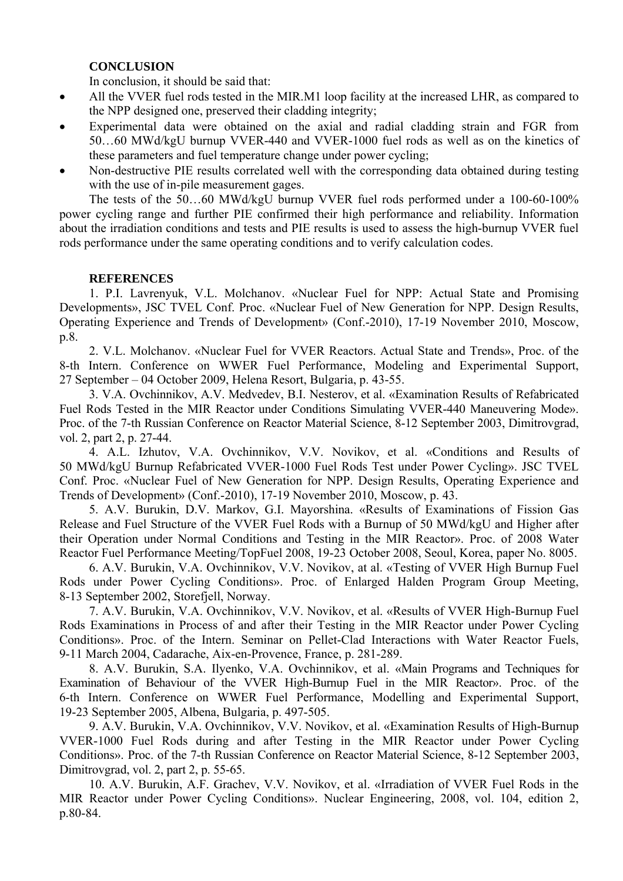# **CONCLUSION**

In conclusion, it should be said that:

- All the VVER fuel rods tested in the MIR.M1 loop facility at the increased LHR, as compared to the NPP designed one, preserved their cladding integrity;
- Experimental data were obtained on the axial and radial cladding strain and FGR from 50…60 MWd/kgU burnup VVER-440 and VVER-1000 fuel rods as well as on the kinetics of these parameters and fuel temperature change under power cycling;
- Non-destructive PIE results correlated well with the corresponding data obtained during testing with the use of in-pile measurement gages.

The tests of the 50…60 MWd/kgU burnup VVER fuel rods performed under a 100-60-100% power cycling range and further PIE confirmed their high performance and reliability. Information about the irradiation conditions and tests and PIE results is used to assess the high-burnup VVER fuel rods performance under the same operating conditions and to verify calculation codes.

# **REFERENCES**

1. P.I. Lavrenyuk, V.L. Molchanov. «Nuclear Fuel for NPP: Actual State and Promising Developments», JSC TVEL Conf. Proc. «Nuclear Fuel of New Generation for NPP. Design Results, Operating Experience and Trends of Development» (Conf.-2010), 17-19 November 2010, Moscow, p.8.

2. V.L. Molchanov. «Nuclear Fuel for VVER Reactors. Actual State and Trends», Proc. of the 8-th Intern. Conference on WWER Fuel Performance, Modeling and Experimental Support, 27 September – 04 October 2009, Helena Resort, Bulgaria, p. 43-55.

3. V.A. Ovchinnikov, A.V. Medvedev, B.I. Nesterov, et al. «Examination Results of Refabricated Fuel Rods Tested in the MIR Reactor under Conditions Simulating VVER-440 Maneuvering Mode». Proc. of the 7-th Russian Conference on Reactor Material Science, 8-12 September 2003, Dimitrovgrad, vol. 2, part 2, p. 27-44.

4. A.L. Izhutov, V.A. Ovchinnikov, V.V. Novikov, et al. «Conditions and Results of 50 MWd/kgU Burnup Refabricated VVER-1000 Fuel Rods Test under Power Cycling». JSC TVEL Conf. Proc. «Nuclear Fuel of New Generation for NPP. Design Results, Operating Experience and Trends of Development» (Conf.-2010), 17-19 November 2010, Moscow, p. 43.

5. A.V. Burukin, D.V. Markov, G.I. Mayorshina. «Results of Examinations of Fission Gas Release and Fuel Structure of the VVER Fuel Rods with a Burnup of 50 MWd/kgU and Higher after their Operation under Normal Conditions and Testing in the MIR Reactor». Proc. of 2008 Water Reactor Fuel Performance Meeting/TopFuel 2008, 19-23 October 2008, Seoul, Korea, paper No. 8005.

6. A.V. Burukin, V.A. Ovchinnikov, V.V. Novikov, at al. «Testing of VVER High Burnup Fuel Rods under Power Cycling Conditions». Proc. of Enlarged Halden Program Group Meeting, 8-13 September 2002, Storefjell, Norway.

7. A.V. Burukin, V.A. Ovchinnikov, V.V. Novikov, et al. «Results of VVER High-Burnup Fuel Rods Examinations in Process of and after their Testing in the MIR Reactor under Power Cycling Conditions». Proc. of the Intern. Seminar on Pellet-Clad Interactions with Water Reactor Fuels, 9-11 March 2004, Cadarache, Aix-en-Provence, France, p. 281-289.

8. A.V. Burukin, S.A. Ilyenko, V.A. Ovchinnikov, et al. «Main Programs and Techniques for Examination of Behaviour of the VVER High-Burnup Fuel in the MIR Reactor». Proc. of the 6-th Intern. Conference on WWER Fuel Performance, Modelling and Experimental Support, 19-23 September 2005, Albena, Bulgaria, p. 497-505.

9. A.V. Burukin, V.A. Ovchinnikov, V.V. Novikov, et al. «Examination Results of High-Burnup VVER-1000 Fuel Rods during and after Testing in the MIR Reactor under Power Cycling Conditions». Proc. of the 7-th Russian Conference on Reactor Material Science, 8-12 September 2003, Dimitrovgrad, vol. 2, part 2, p. 55-65.

10. A.V. Burukin, A.F. Grachev, V.V. Novikov, et al. «Irradiation of VVER Fuel Rods in the MIR Reactor under Power Cycling Conditions». Nuclear Engineering, 2008, vol. 104, edition 2, p.80-84.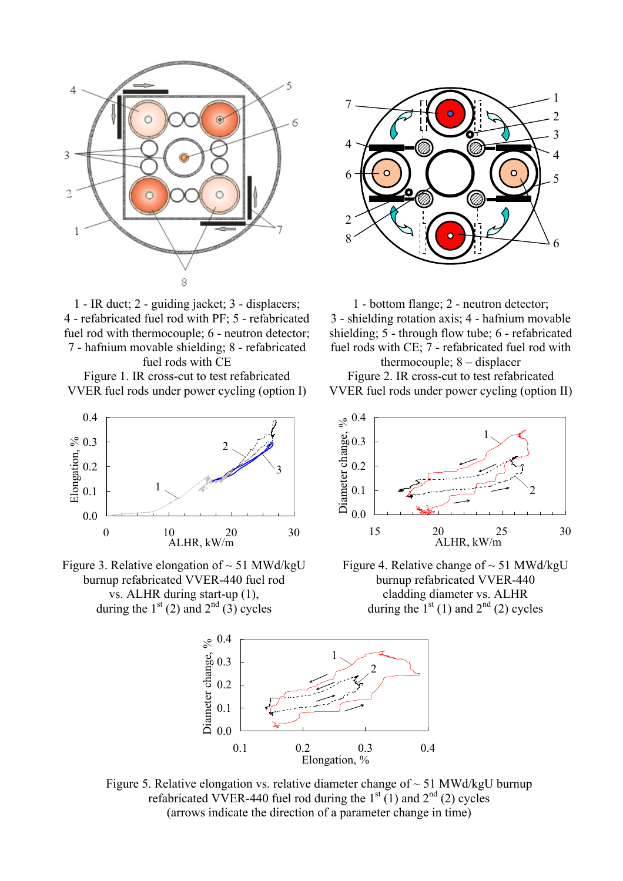

1 - IR duct; 2 - guiding jacket; 3 - displacers; 4 - refabricated fuel rod with PF; 5 - refabricated fuel rod with thermocouple; 6 - neutron detector; 7 - hafnium movable shielding; 8 - refabricated fuel rods with CE

Figure 1. IR cross-cut to test refabricated VVER fuel rods under power cycling (option I)







1 - bottom flange; 2 - neutron detector; 3 - shielding rotation axis; 4 - hafnium movable shielding; 5 - through flow tube; 6 - refabricated fuel rods with CE; 7 - refabricated fuel rod with thermocouple; 8 – displacer

Figure 2. IR cross-cut to test refabricated VVER fuel rods under power cycling (option II)



Figure 4. Relative change of  $\sim$  51 MWd/kgU burnup refabricated VVER-440 cladding diameter vs. ALHR during the  $1<sup>st</sup>$  (1) and  $2<sup>nd</sup>$  (2) cycles



Figure 5. Relative elongation vs. relative diameter change of  $\sim$  51 MWd/kgU burnup refabricated VVER-440 fuel rod during the  $1<sup>st</sup>$  (1) and  $2<sup>nd</sup>$  (2) cycles (arrows indicate the direction of a parameter change in time)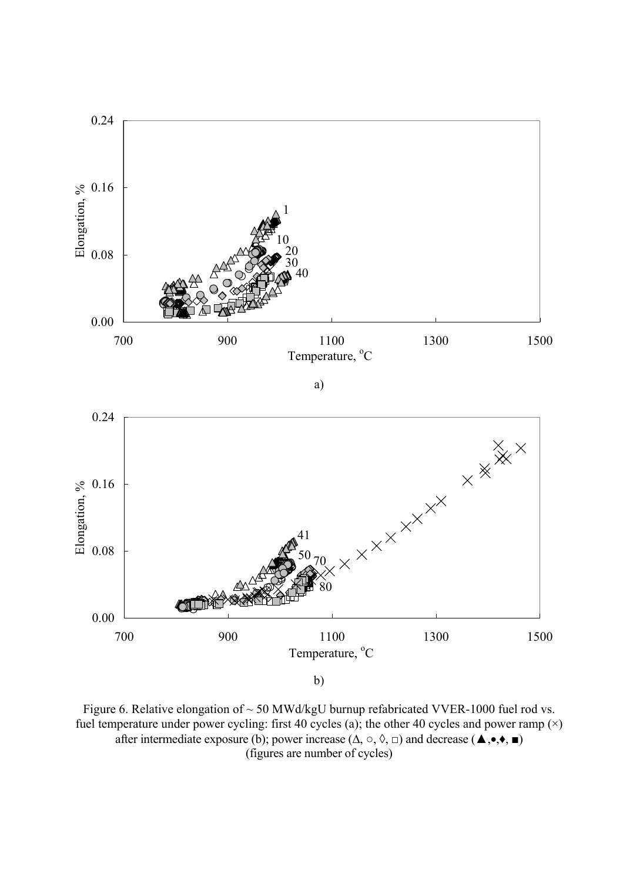

Figure 6. Relative elongation of  $\sim$  50 MWd/kgU burnup refabricated VVER-1000 fuel rod vs. fuel temperature under power cycling: first 40 cycles (a); the other 40 cycles and power ramp  $(x)$ after intermediate exposure (b); power increase ( $\Delta$ ,  $\circ$ ,  $\Diamond$ ,  $\Box$ ) and decrease ( $\blacktriangle, \bullet, \blacktriangle, \blacksquare$ ) (figures are number of cycles)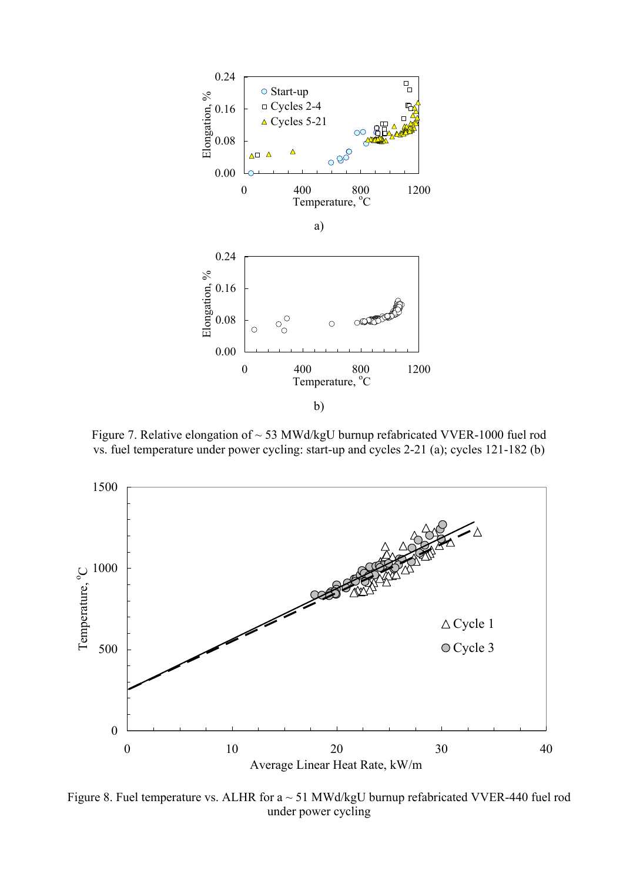

Figure 7. Relative elongation of ~ 53 MWd/kgU burnup refabricated VVER-1000 fuel rod vs. fuel temperature under power cycling: start-up and cycles 2-21 (a); cycles 121-182 (b)



Figure 8. Fuel temperature vs. ALHR for  $a \sim 51$  MWd/kgU burnup refabricated VVER-440 fuel rod under power cycling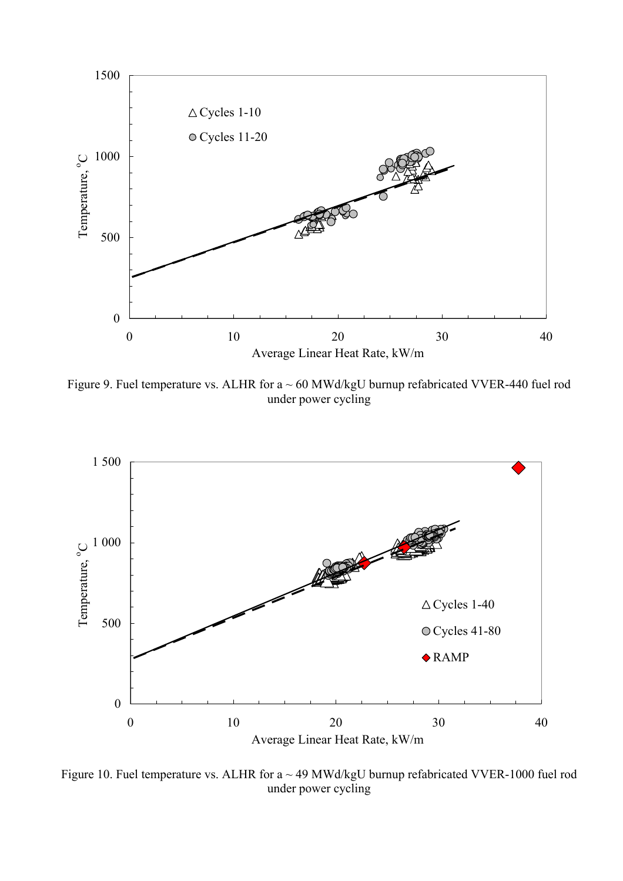

Figure 9. Fuel temperature vs. ALHR for  $a \sim 60$  MWd/kgU burnup refabricated VVER-440 fuel rod under power cycling



Figure 10. Fuel temperature vs. ALHR for a ~ 49 MWd/kgU burnup refabricated VVER-1000 fuel rod under power cycling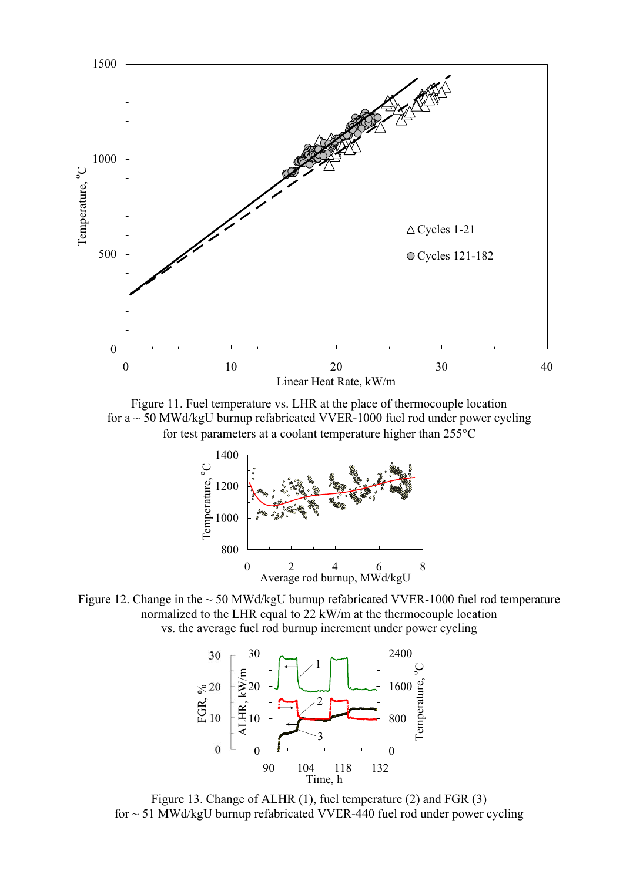

Figure 11. Fuel temperature vs. LHR at the place of thermocouple location for  $a \sim 50$  MWd/kgU burnup refabricated VVER-1000 fuel rod under power cycling for test parameters at a coolant temperature higher than 255°C



Figure 12. Change in the ~ 50 MWd/kgU burnup refabricated VVER-1000 fuel rod temperature normalized to the LHR equal to 22 kW/m at the thermocouple location vs. the average fuel rod burnup increment under power cycling



Figure 13. Change of ALHR (1), fuel temperature (2) and FGR (3) for  $\sim$  51 MWd/kgU burnup refabricated VVER-440 fuel rod under power cycling